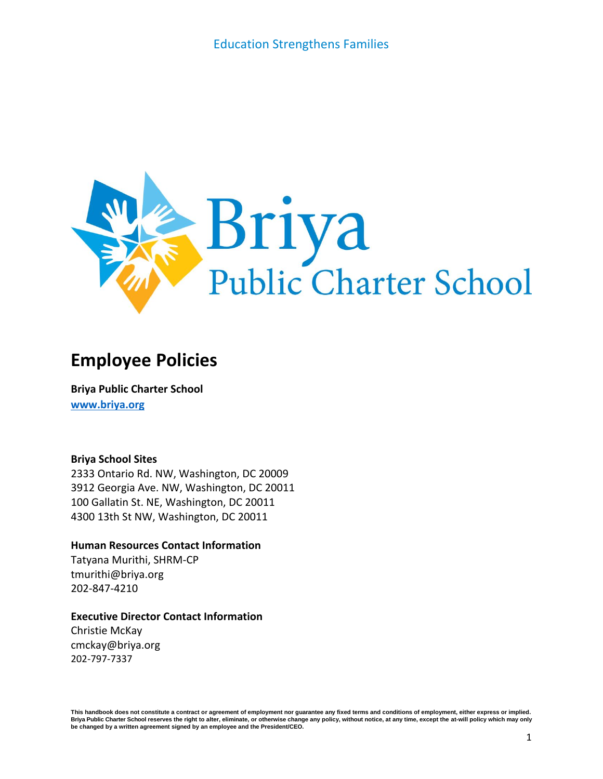

# **Employee Policies**

**Briya Public Charter School [www.briya.org](http://www.briya.org/)**

#### **Briya School Sites**

2333 Ontario Rd. NW, Washington, DC 20009 3912 Georgia Ave. NW, Washington, DC 20011 100 Gallatin St. NE, Washington, DC 20011 4300 13th St NW, Washington, DC 20011

#### **Human Resources Contact Information**

Tatyana Murithi, SHRM-CP tmurithi@briya.org 202-847-4210

#### **Executive Director Contact Information**

Christie McKay cmckay@briya.org 202-797-7337

This handbook does not constitute a contract or agreement of employment nor quarantee any fixed terms and conditions of employment, either express or implied. Briya Public Charter School reserves the right to alter, eliminate, or otherwise change any policy, without notice, at any time, except the at-will policy which may only **be changed by a written agreement signed by an employee and the President/CEO.**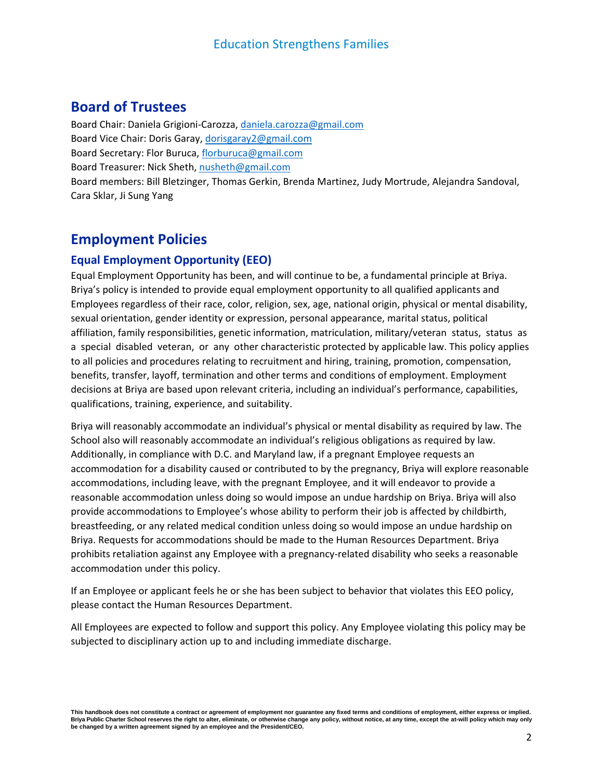# **Board of Trustees**

Board Chair: Daniela Grigioni-Carozza, [daniela.carozza@gmail.com](mailto:daniela.carozza@gmail.com) Board Vice Chair: Doris Garay, [dorisgaray2@gmail.com](mailto:dorisgaray2@gmail.com) Board Secretary: Flor Buruca, [florburuca@gmail.com](mailto:florburuca@gmail.com) Board Treasurer: Nick Sheth, [nusheth@gmail.com](mailto:nusheth@gmail.com) Board members: Bill Bletzinger, Thomas Gerkin, Brenda Martinez, Judy Mortrude, Alejandra Sandoval, Cara Sklar, Ji Sung Yang

# **Employment Policies**

#### **Equal Employment Opportunity (EEO)**

Equal Employment Opportunity has been, and will continue to be, a fundamental principle at Briya. Briya's policy is intended to provide equal employment opportunity to all qualified applicants and Employees regardless of their race, color, religion, sex, age, national origin, physical or mental disability, sexual orientation, gender identity or expression, personal appearance, marital status, political affiliation, family responsibilities, genetic information, matriculation, military/veteran status, status as a special disabled veteran, or any other characteristic protected by applicable law. This policy applies to all policies and procedures relating to recruitment and hiring, training, promotion, compensation, benefits, transfer, layoff, termination and other terms and conditions of employment. Employment decisions at Briya are based upon relevant criteria, including an individual's performance, capabilities, qualifications, training, experience, and suitability.

Briya will reasonably accommodate an individual's physical or mental disability as required by law. The School also will reasonably accommodate an individual's religious obligations as required by law. Additionally, in compliance with D.C. and Maryland law, if a pregnant Employee requests an accommodation for a disability caused or contributed to by the pregnancy, Briya will explore reasonable accommodations, including leave, with the pregnant Employee, and it will endeavor to provide a reasonable accommodation unless doing so would impose an undue hardship on Briya. Briya will also provide accommodations to Employee's whose ability to perform their job is affected by childbirth, breastfeeding, or any related medical condition unless doing so would impose an undue hardship on Briya. Requests for accommodations should be made to the Human Resources Department. Briya prohibits retaliation against any Employee with a pregnancy-related disability who seeks a reasonable accommodation under this policy.

If an Employee or applicant feels he or she has been subject to behavior that violates this EEO policy, please contact the Human Resources Department.

All Employees are expected to follow and support this policy. Any Employee violating this policy may be subjected to disciplinary action up to and including immediate discharge.

This handbook does not constitute a contract or agreement of employment nor quarantee any fixed terms and conditions of employment, either express or implied. Briya Public Charter School reserves the right to alter, eliminate, or otherwise change any policy, without notice, at any time, except the at-will policy which may only **be changed by a written agreement signed by an employee and the President/CEO.**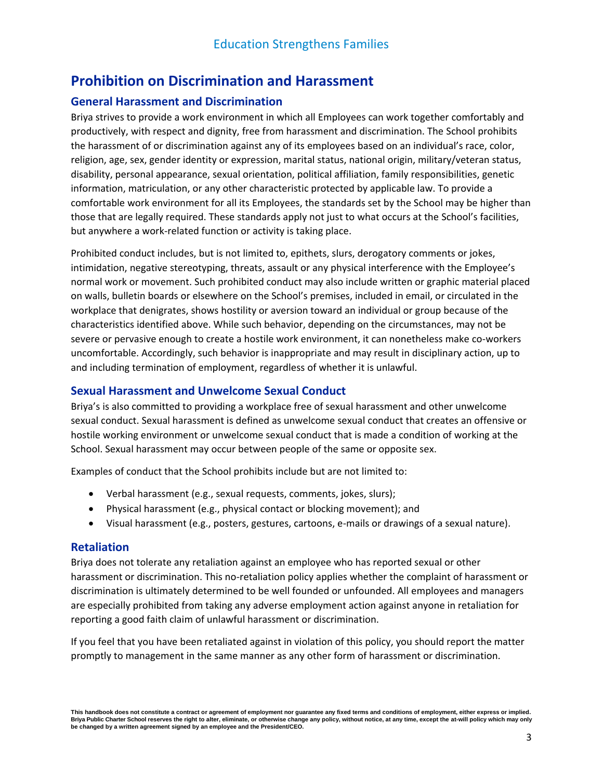# **Prohibition on Discrimination and Harassment**

### **General Harassment and Discrimination**

Briya strives to provide a work environment in which all Employees can work together comfortably and productively, with respect and dignity, free from harassment and discrimination. The School prohibits the harassment of or discrimination against any of its employees based on an individual's race, color, religion, age, sex, gender identity or expression, marital status, national origin, military/veteran status, disability, personal appearance, sexual orientation, political affiliation, family responsibilities, genetic information, matriculation, or any other characteristic protected by applicable law. To provide a comfortable work environment for all its Employees, the standards set by the School may be higher than those that are legally required. These standards apply not just to what occurs at the School's facilities, but anywhere a work-related function or activity is taking place.

Prohibited conduct includes, but is not limited to, epithets, slurs, derogatory comments or jokes, intimidation, negative stereotyping, threats, assault or any physical interference with the Employee's normal work or movement. Such prohibited conduct may also include written or graphic material placed on walls, bulletin boards or elsewhere on the School's premises, included in email, or circulated in the workplace that denigrates, shows hostility or aversion toward an individual or group because of the characteristics identified above. While such behavior, depending on the circumstances, may not be severe or pervasive enough to create a hostile work environment, it can nonetheless make co-workers uncomfortable. Accordingly, such behavior is inappropriate and may result in disciplinary action, up to and including termination of employment, regardless of whether it is unlawful.

#### **Sexual Harassment and Unwelcome Sexual Conduct**

Briya's is also committed to providing a workplace free of sexual harassment and other unwelcome sexual conduct. Sexual harassment is defined as unwelcome sexual conduct that creates an offensive or hostile working environment or unwelcome sexual conduct that is made a condition of working at the School. Sexual harassment may occur between people of the same or opposite sex.

Examples of conduct that the School prohibits include but are not limited to:

- Verbal harassment (e.g., sexual requests, comments, jokes, slurs);
- Physical harassment (e.g., physical contact or blocking movement); and
- Visual harassment (e.g., posters, gestures, cartoons, e-mails or drawings of a sexual nature).

#### **Retaliation**

Briya does not tolerate any retaliation against an employee who has reported sexual or other harassment or discrimination. This no-retaliation policy applies whether the complaint of harassment or discrimination is ultimately determined to be well founded or unfounded. All employees and managers are especially prohibited from taking any adverse employment action against anyone in retaliation for reporting a good faith claim of unlawful harassment or discrimination.

If you feel that you have been retaliated against in violation of this policy, you should report the matter promptly to management in the same manner as any other form of harassment or discrimination.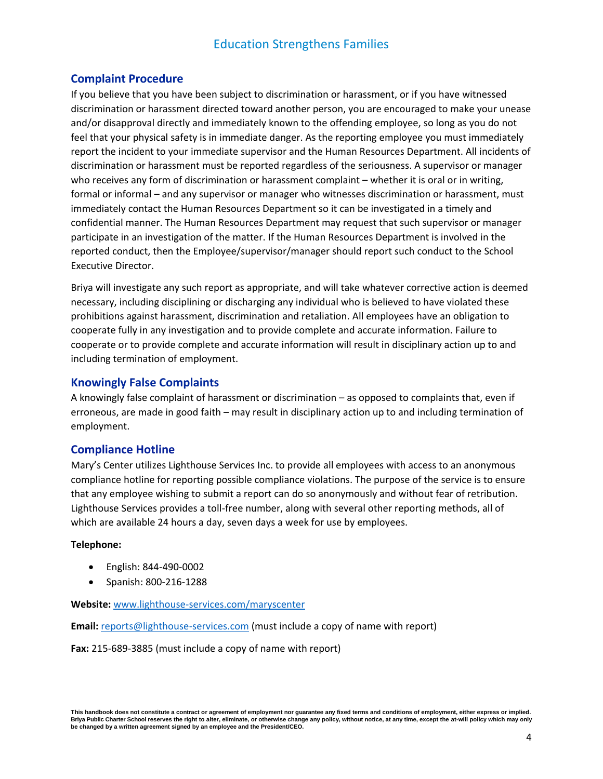### **Complaint Procedure**

If you believe that you have been subject to discrimination or harassment, or if you have witnessed discrimination or harassment directed toward another person, you are encouraged to make your unease and/or disapproval directly and immediately known to the offending employee, so long as you do not feel that your physical safety is in immediate danger. As the reporting employee you must immediately report the incident to your immediate supervisor and the Human Resources Department. All incidents of discrimination or harassment must be reported regardless of the seriousness. A supervisor or manager who receives any form of discrimination or harassment complaint – whether it is oral or in writing, formal or informal – and any supervisor or manager who witnesses discrimination or harassment, must immediately contact the Human Resources Department so it can be investigated in a timely and confidential manner. The Human Resources Department may request that such supervisor or manager participate in an investigation of the matter. If the Human Resources Department is involved in the reported conduct, then the Employee/supervisor/manager should report such conduct to the School Executive Director.

Briya will investigate any such report as appropriate, and will take whatever corrective action is deemed necessary, including disciplining or discharging any individual who is believed to have violated these prohibitions against harassment, discrimination and retaliation. All employees have an obligation to cooperate fully in any investigation and to provide complete and accurate information. Failure to cooperate or to provide complete and accurate information will result in disciplinary action up to and including termination of employment.

### **Knowingly False Complaints**

A knowingly false complaint of harassment or discrimination – as opposed to complaints that, even if erroneous, are made in good faith – may result in disciplinary action up to and including termination of employment.

### **Compliance Hotline**

Mary's Center utilizes Lighthouse Services Inc. to provide all employees with access to an anonymous compliance hotline for reporting possible compliance violations. The purpose of the service is to ensure that any employee wishing to submit a report can do so anonymously and without fear of retribution. Lighthouse Services provides a toll-free number, along with several other reporting methods, all of which are available 24 hours a day, seven days a week for use by employees.

#### **Telephone:**

- English: 844-490-0002
- Spanish: 800-216-1288

**Website:** [www.lighthouse-services.com/maryscenter](http://www.lighthouse-services.com/maryscenter)

**Email:** [reports@lighthouse-services.com](mailto:reports@lighthouse-services.com) (must include a copy of name with report)

**Fax:** 215-689-3885 (must include a copy of name with report)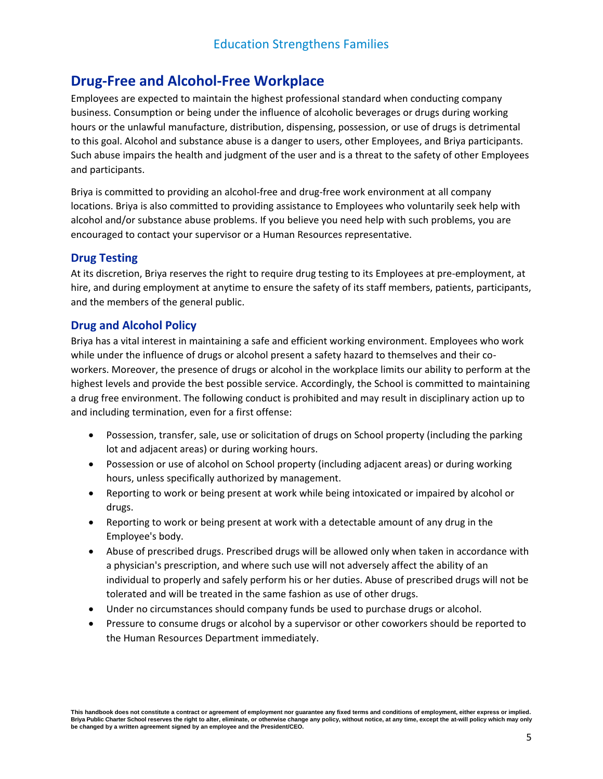# **Drug-Free and Alcohol-Free Workplace**

Employees are expected to maintain the highest professional standard when conducting company business. Consumption or being under the influence of alcoholic beverages or drugs during working hours or the unlawful manufacture, distribution, dispensing, possession, or use of drugs is detrimental to this goal. Alcohol and substance abuse is a danger to users, other Employees, and Briya participants. Such abuse impairs the health and judgment of the user and is a threat to the safety of other Employees and participants.

Briya is committed to providing an alcohol-free and drug-free work environment at all company locations. Briya is also committed to providing assistance to Employees who voluntarily seek help with alcohol and/or substance abuse problems. If you believe you need help with such problems, you are encouraged to contact your supervisor or a Human Resources representative.

#### **Drug Testing**

At its discretion, Briya reserves the right to require drug testing to its Employees at pre-employment, at hire, and during employment at anytime to ensure the safety of its staff members, patients, participants, and the members of the general public.

#### **Drug and Alcohol Policy**

Briya has a vital interest in maintaining a safe and efficient working environment. Employees who work while under the influence of drugs or alcohol present a safety hazard to themselves and their coworkers. Moreover, the presence of drugs or alcohol in the workplace limits our ability to perform at the highest levels and provide the best possible service. Accordingly, the School is committed to maintaining a drug free environment. The following conduct is prohibited and may result in disciplinary action up to and including termination, even for a first offense:

- Possession, transfer, sale, use or solicitation of drugs on School property (including the parking lot and adjacent areas) or during working hours.
- Possession or use of alcohol on School property (including adjacent areas) or during working hours, unless specifically authorized by management.
- Reporting to work or being present at work while being intoxicated or impaired by alcohol or drugs.
- Reporting to work or being present at work with a detectable amount of any drug in the Employee's body.
- Abuse of prescribed drugs. Prescribed drugs will be allowed only when taken in accordance with a physician's prescription, and where such use will not adversely affect the ability of an individual to properly and safely perform his or her duties. Abuse of prescribed drugs will not be tolerated and will be treated in the same fashion as use of other drugs.
- Under no circumstances should company funds be used to purchase drugs or alcohol.
- Pressure to consume drugs or alcohol by a supervisor or other coworkers should be reported to the Human Resources Department immediately.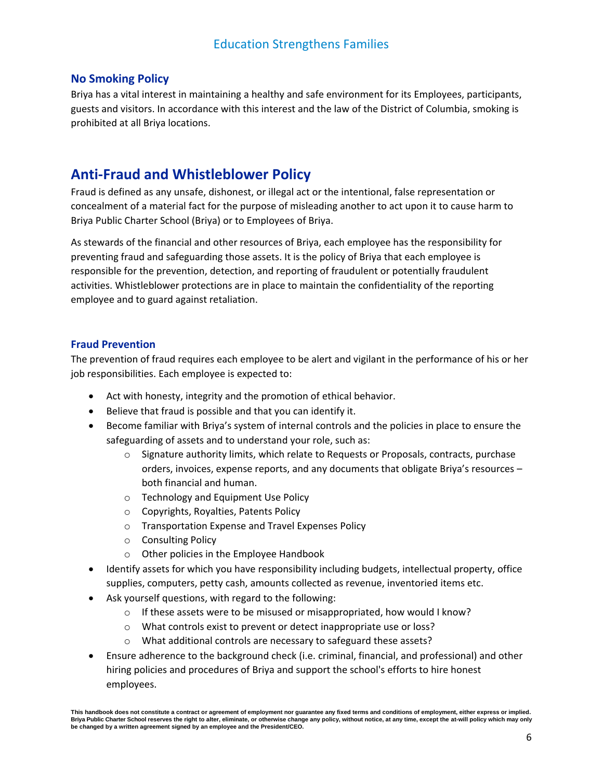### **No Smoking Policy**

Briya has a vital interest in maintaining a healthy and safe environment for its Employees, participants, guests and visitors. In accordance with this interest and the law of the District of Columbia, smoking is prohibited at all Briya locations.

# **Anti-Fraud and Whistleblower Policy**

Fraud is defined as any unsafe, dishonest, or illegal act or the intentional, false representation or concealment of a material fact for the purpose of misleading another to act upon it to cause harm to Briya Public Charter School (Briya) or to Employees of Briya.

As stewards of the financial and other resources of Briya, each employee has the responsibility for preventing fraud and safeguarding those assets. It is the policy of Briya that each employee is responsible for the prevention, detection, and reporting of fraudulent or potentially fraudulent activities. Whistleblower protections are in place to maintain the confidentiality of the reporting employee and to guard against retaliation.

#### **Fraud Prevention**

The prevention of fraud requires each employee to be alert and vigilant in the performance of his or her job responsibilities. Each employee is expected to:

- Act with honesty, integrity and the promotion of ethical behavior.
- Believe that fraud is possible and that you can identify it.
- Become familiar with Briya's system of internal controls and the policies in place to ensure the safeguarding of assets and to understand your role, such as:
	- $\circ$  Signature authority limits, which relate to Requests or Proposals, contracts, purchase orders, invoices, expense reports, and any documents that obligate Briya's resources – both financial and human.
	- o Technology and Equipment Use Policy
	- o Copyrights, Royalties, Patents Policy
	- o Transportation Expense and Travel Expenses Policy
	- o Consulting Policy
	- o Other policies in the Employee Handbook
- Identify assets for which you have responsibility including budgets, intellectual property, office supplies, computers, petty cash, amounts collected as revenue, inventoried items etc.
- Ask yourself questions, with regard to the following:
	- $\circ$  If these assets were to be misused or misappropriated, how would I know?
	- o What controls exist to prevent or detect inappropriate use or loss?
	- o What additional controls are necessary to safeguard these assets?
- Ensure adherence to the background check (i.e. criminal, financial, and professional) and other hiring policies and procedures of Briya and support the school's efforts to hire honest employees.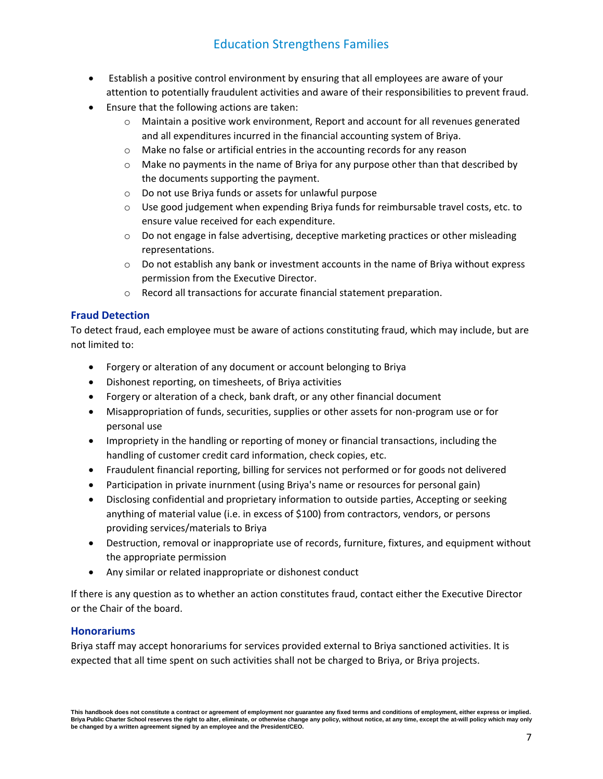- Establish a positive control environment by ensuring that all employees are aware of your attention to potentially fraudulent activities and aware of their responsibilities to prevent fraud.
- Ensure that the following actions are taken:
	- $\circ$  Maintain a positive work environment, Report and account for all revenues generated and all expenditures incurred in the financial accounting system of Briya.
	- o Make no false or artificial entries in the accounting records for any reason
	- $\circ$  Make no payments in the name of Briya for any purpose other than that described by the documents supporting the payment.
	- o Do not use Briya funds or assets for unlawful purpose
	- $\circ$  Use good judgement when expending Briya funds for reimbursable travel costs, etc. to ensure value received for each expenditure.
	- $\circ$  Do not engage in false advertising, deceptive marketing practices or other misleading representations.
	- $\circ$  Do not establish any bank or investment accounts in the name of Briya without express permission from the Executive Director.
	- o Record all transactions for accurate financial statement preparation.

#### **Fraud Detection**

To detect fraud, each employee must be aware of actions constituting fraud, which may include, but are not limited to:

- Forgery or alteration of any document or account belonging to Briya
- Dishonest reporting, on timesheets, of Briya activities
- Forgery or alteration of a check, bank draft, or any other financial document
- Misappropriation of funds, securities, supplies or other assets for non-program use or for personal use
- Impropriety in the handling or reporting of money or financial transactions, including the handling of customer credit card information, check copies, etc.
- Fraudulent financial reporting, billing for services not performed or for goods not delivered
- Participation in private inurnment (using Briya's name or resources for personal gain)
- Disclosing confidential and proprietary information to outside parties, Accepting or seeking anything of material value (i.e. in excess of \$100) from contractors, vendors, or persons providing services/materials to Briya
- Destruction, removal or inappropriate use of records, furniture, fixtures, and equipment without the appropriate permission
- Any similar or related inappropriate or dishonest conduct

If there is any question as to whether an action constitutes fraud, contact either the Executive Director or the Chair of the board.

#### **Honorariums**

Briya staff may accept honorariums for services provided external to Briya sanctioned activities. It is expected that all time spent on such activities shall not be charged to Briya, or Briya projects.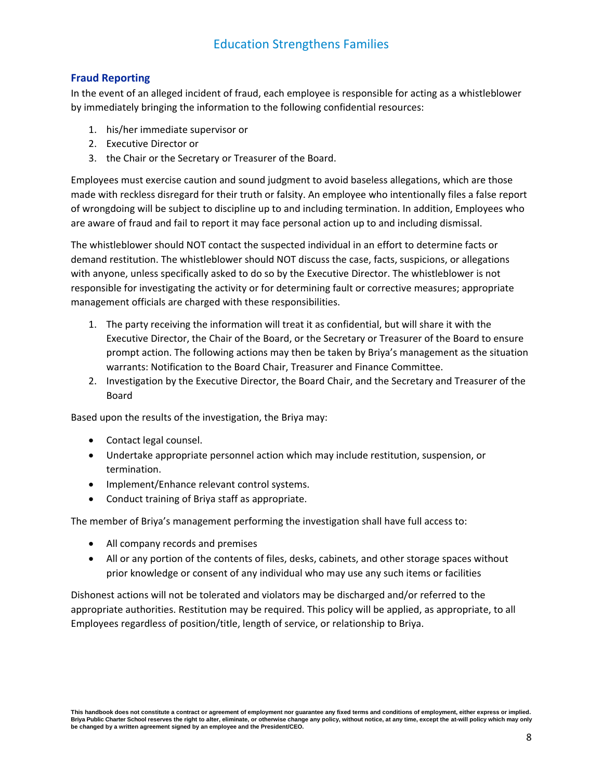#### **Fraud Reporting**

In the event of an alleged incident of fraud, each employee is responsible for acting as a whistleblower by immediately bringing the information to the following confidential resources:

- 1. his/her immediate supervisor or
- 2. Executive Director or
- 3. the Chair or the Secretary or Treasurer of the Board.

Employees must exercise caution and sound judgment to avoid baseless allegations, which are those made with reckless disregard for their truth or falsity. An employee who intentionally files a false report of wrongdoing will be subject to discipline up to and including termination. In addition, Employees who are aware of fraud and fail to report it may face personal action up to and including dismissal.

The whistleblower should NOT contact the suspected individual in an effort to determine facts or demand restitution. The whistleblower should NOT discuss the case, facts, suspicions, or allegations with anyone, unless specifically asked to do so by the Executive Director. The whistleblower is not responsible for investigating the activity or for determining fault or corrective measures; appropriate management officials are charged with these responsibilities.

- 1. The party receiving the information will treat it as confidential, but will share it with the Executive Director, the Chair of the Board, or the Secretary or Treasurer of the Board to ensure prompt action. The following actions may then be taken by Briya's management as the situation warrants: Notification to the Board Chair, Treasurer and Finance Committee.
- 2. Investigation by the Executive Director, the Board Chair, and the Secretary and Treasurer of the Board

Based upon the results of the investigation, the Briya may:

- Contact legal counsel.
- Undertake appropriate personnel action which may include restitution, suspension, or termination.
- Implement/Enhance relevant control systems.
- Conduct training of Briya staff as appropriate.

The member of Briya's management performing the investigation shall have full access to:

- All company records and premises
- All or any portion of the contents of files, desks, cabinets, and other storage spaces without prior knowledge or consent of any individual who may use any such items or facilities

Dishonest actions will not be tolerated and violators may be discharged and/or referred to the appropriate authorities. Restitution may be required. This policy will be applied, as appropriate, to all Employees regardless of position/title, length of service, or relationship to Briya.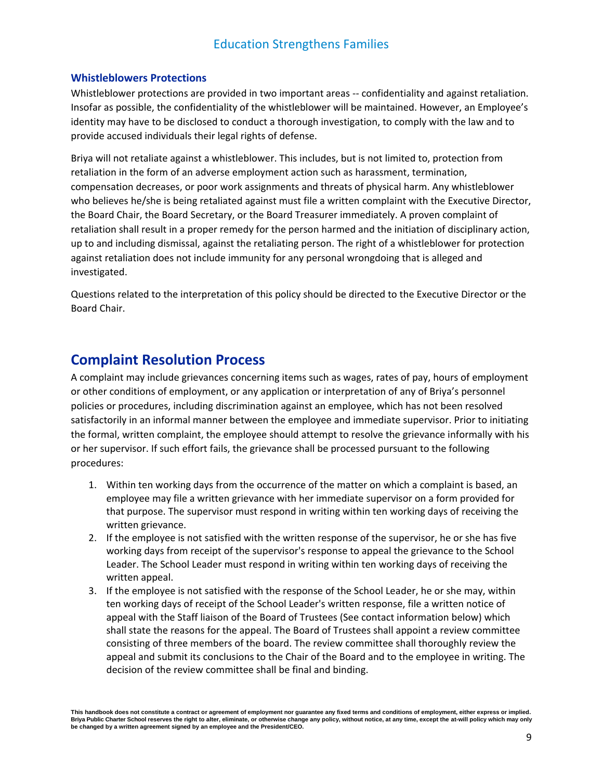#### **Whistleblowers Protections**

Whistleblower protections are provided in two important areas -- confidentiality and against retaliation. Insofar as possible, the confidentiality of the whistleblower will be maintained. However, an Employee's identity may have to be disclosed to conduct a thorough investigation, to comply with the law and to provide accused individuals their legal rights of defense.

Briya will not retaliate against a whistleblower. This includes, but is not limited to, protection from retaliation in the form of an adverse employment action such as harassment, termination, compensation decreases, or poor work assignments and threats of physical harm. Any whistleblower who believes he/she is being retaliated against must file a written complaint with the Executive Director, the Board Chair, the Board Secretary, or the Board Treasurer immediately. A proven complaint of retaliation shall result in a proper remedy for the person harmed and the initiation of disciplinary action, up to and including dismissal, against the retaliating person. The right of a whistleblower for protection against retaliation does not include immunity for any personal wrongdoing that is alleged and investigated.

Questions related to the interpretation of this policy should be directed to the Executive Director or the Board Chair.

### **Complaint Resolution Process**

A complaint may include grievances concerning items such as wages, rates of pay, hours of employment or other conditions of employment, or any application or interpretation of any of Briya's personnel policies or procedures, including discrimination against an employee, which has not been resolved satisfactorily in an informal manner between the employee and immediate supervisor. Prior to initiating the formal, written complaint, the employee should attempt to resolve the grievance informally with his or her supervisor. If such effort fails, the grievance shall be processed pursuant to the following procedures:

- 1. Within ten working days from the occurrence of the matter on which a complaint is based, an employee may file a written grievance with her immediate supervisor on a form provided for that purpose. The supervisor must respond in writing within ten working days of receiving the written grievance.
- 2. If the employee is not satisfied with the written response of the supervisor, he or she has five working days from receipt of the supervisor's response to appeal the grievance to the School Leader. The School Leader must respond in writing within ten working days of receiving the written appeal.
- 3. If the employee is not satisfied with the response of the School Leader, he or she may, within ten working days of receipt of the School Leader's written response, file a written notice of appeal with the Staff liaison of the Board of Trustees (See contact information below) which shall state the reasons for the appeal. The Board of Trustees shall appoint a review committee consisting of three members of the board. The review committee shall thoroughly review the appeal and submit its conclusions to the Chair of the Board and to the employee in writing. The decision of the review committee shall be final and binding.

This handbook does not constitute a contract or agreement of employment nor quarantee any fixed terms and conditions of employment, either express or implied. Briya Public Charter School reserves the right to alter, eliminate, or otherwise change any policy, without notice, at any time, except the at-will policy which may only **be changed by a written agreement signed by an employee and the President/CEO.**